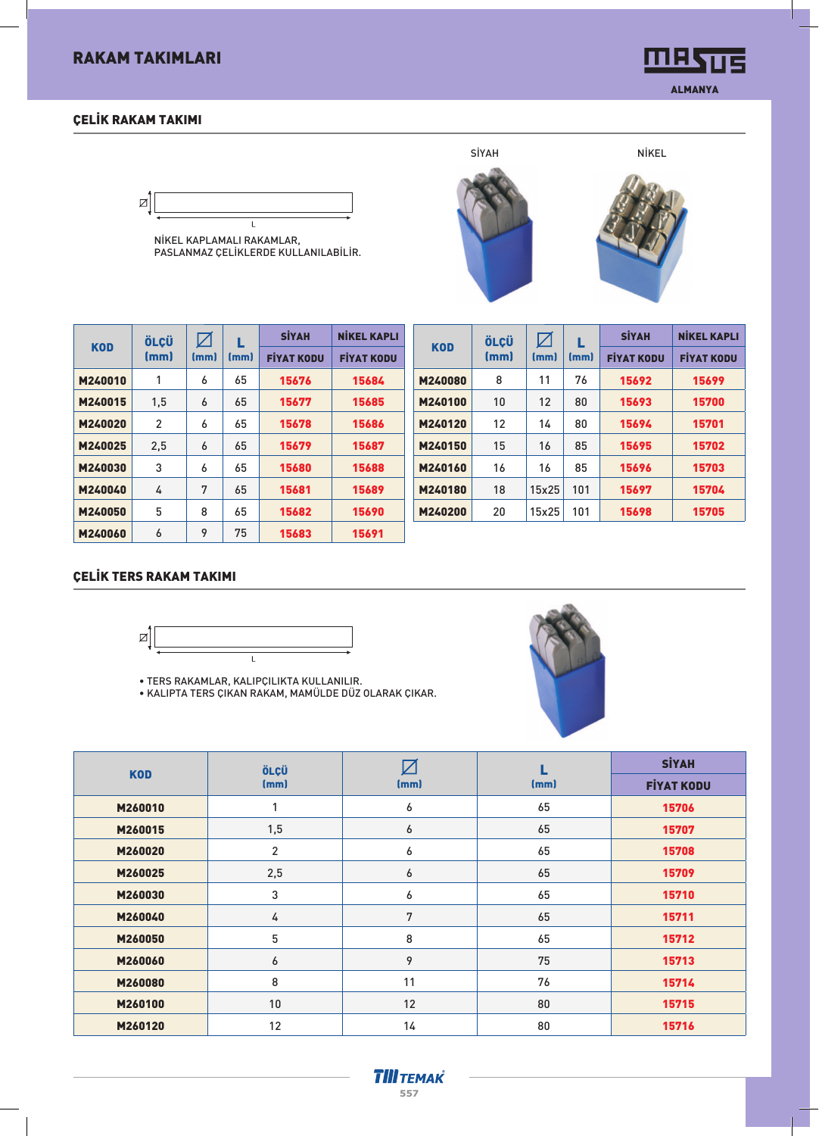# RAKAM TAKIMLARI

### ÇELİK RAKAM TAKIMI

øĮ  $\mathbf{I}$ 

NİKEL KAPLAMALI RAKAMLAR, PASLANMAZ ÇELİKLERDE KULLANILABİLİR.

|            | ÖLÇÜ |      | L    | <b>SİYAH</b>      | <b>NİKEL KAPLI</b> |
|------------|------|------|------|-------------------|--------------------|
| <b>KOD</b> | (mm) | (mm) | (mm) | <b>FIYAT KODU</b> | <b>FIYAT KODU</b>  |
| M240010    | 1    | 6    | 65   | 15676             | 15684              |
| M240015    | 1.5  | 6    | 65   | 15677             | 15685              |
| M240020    | 2    | 6    | 65   | 15678             | 15686              |
| M240025    | 2.5  | 6    | 65   | 15679             | 15687              |
| M240030    | 3    | 6    | 65   | 15680             | 15688              |
| M240040    | 4    | 7    | 65   | 15681             | 15689              |
| M240050    | 5    | 8    | 65   | 15682             | 15690              |
| M240060    | 6    | 9    | 75   | 15683             | 15691              |

|            | ÖLÇÜ |       | L    | <b>SİYAH</b>      | <b>NIKEL KAPLI</b> |
|------------|------|-------|------|-------------------|--------------------|
| <b>KOD</b> | (mm) | (mm)  | (mm) | <b>FİYAT KODU</b> | <b>FIYAT KODU</b>  |
| M240080    | 8    | 11    | 76   | 15692             | 15699              |
| M240100    | 10   | 12    | 80   | 15693             | 15700              |
| M240120    | 12   | 14    | 80   | 15694             | 15701              |
| M240150    | 15   | 16    | 85   | 15695             | 15702              |
| M240160    | 16   | 16    | 85   | 15696             | 15703              |
| M240180    | 18   | 15x25 | 101  | 15697             | 15704              |
| M240200    | 20   | 15x25 | 101  | 15698             | 15705              |
|            |      |       |      |                   |                    |

#### ÇELİK TERS RAKAM TAKIMI



• TERS RAKAMLAR, KALIPÇILIKTA KULLANILIR.

• KALIPTA TERS ÇIKAN RAKAM, MAMÜLDE DÜZ OLARAK ÇIKAR.



|            | ÖLÇÜ           |      |      | <b>SİYAH</b>      |
|------------|----------------|------|------|-------------------|
| <b>KOD</b> | (mm)           | (mm) | (mm) | <b>FİYAT KODU</b> |
| M260010    |                | 6    | 65   | 15706             |
| M260015    | 1,5            | 6    | 65   | 15707             |
| M260020    | $\overline{2}$ | 6    | 65   | 15708             |
| M260025    | 2,5            | 6    | 65   | 15709             |
| M260030    | 3              | 6    | 65   | 15710             |
| M260040    | 4              | 7    | 65   | 15711             |
| M260050    | 5              | 8    | 65   | 15712             |
| M260060    | 6              | 9    | 75   | 15713             |
| M260080    | 8              | 11   | 76   | 15714             |
| M260100    | 10             | 12   | 80   | 15715             |
| M260120    | 12             | 14   | 80   | 15716             |





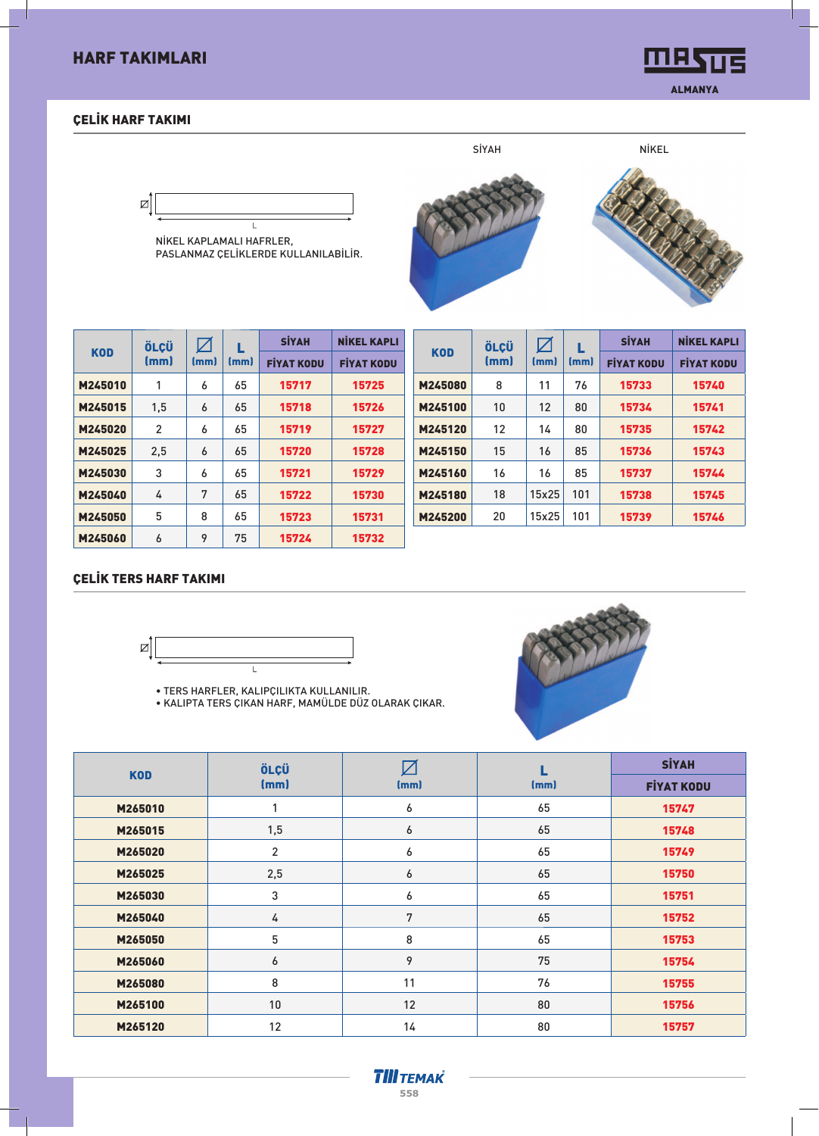# HARF TAKIMLARI

## ÇELİK HARF TAKIMI

**MASUS** ALMANYA

# ⊠  $\mathbf{I}$

NİKEL KAPLAMALI HAFRLER, PASLANMAZ ÇELİKLERDE KULLANILABİLİR.



|            | ÖLÇÜ           | $\boldsymbol{\mathsf{Z}}$ |      | <b>SİYAH</b>      | <b>NİKEL KAPLI</b> |
|------------|----------------|---------------------------|------|-------------------|--------------------|
| <b>KOD</b> | (mm)           | (mm)                      | (mm) | <b>FIYAT KODU</b> | <b>FİYAT KODU</b>  |
| M245010    | 1              | 6                         | 65   | 15717             | 15725              |
| M245015    | 1,5            | 6                         | 65   | 15718             | 15726              |
| M245020    | $\overline{2}$ | 6                         | 65   | 15719             | 15727              |
| M245025    | 2,5            | 6                         | 65   | 15720             | 15728              |
| M245030    | 3              | 6                         | 65   | 15721             | 15729              |
| M245040    | 4              | 7                         | 65   | 15722             | 15730              |
| M245050    | 5              | 8                         | 65   | 15723             | 15731              |
| M245060    | 6              | 9                         | 75   | 15724             | 15732              |

| <b>KOD</b><br>(mm)<br>(mm)<br>(mm)<br><b>FIYAT KODU</b><br><b>FIYAT KODU</b><br>11<br>15740<br>M245080<br>8<br>76<br>15733<br>12<br>10<br>80<br>M245100<br>15734<br>15741<br>15742<br>M245120<br>12<br>15735<br>14<br>80<br>M245150<br>85<br>15<br>16<br>15736<br>15743<br>16<br>85<br>15744<br>M245160<br>16<br>15737<br>101<br>15738<br>15745<br>M245180<br>18<br>15x25 | ÖLCÜ | $\boxtimes$ | L | <b>SİYAH</b> | <b>NİKEL KAPLI</b> |
|---------------------------------------------------------------------------------------------------------------------------------------------------------------------------------------------------------------------------------------------------------------------------------------------------------------------------------------------------------------------------|------|-------------|---|--------------|--------------------|
|                                                                                                                                                                                                                                                                                                                                                                           |      |             |   |              |                    |
|                                                                                                                                                                                                                                                                                                                                                                           |      |             |   |              |                    |
|                                                                                                                                                                                                                                                                                                                                                                           |      |             |   |              |                    |
|                                                                                                                                                                                                                                                                                                                                                                           |      |             |   |              |                    |
|                                                                                                                                                                                                                                                                                                                                                                           |      |             |   |              |                    |
|                                                                                                                                                                                                                                                                                                                                                                           |      |             |   |              |                    |
|                                                                                                                                                                                                                                                                                                                                                                           |      |             |   |              |                    |
| 20<br>15x25<br>101<br>15739<br>15746<br>M245200                                                                                                                                                                                                                                                                                                                           |      |             |   |              |                    |

#### ÇELİK TERS HARF TAKIMI



• TERS HARFLER, KALIPÇILIKTA KULLANILIR.

• KALIPTA TERS ÇIKAN HARF, MAMÜLDE DÜZ OLARAK ÇIKAR.



|            | ÖLÇÜ           |      |      | <b>SİYAH</b>      |
|------------|----------------|------|------|-------------------|
| <b>KOD</b> | (mm)           | (mm) | (mm) | <b>FİYAT KODU</b> |
| M265010    | 1              | 6    | 65   | 15747             |
| M265015    | 1,5            | 6    | 65   | 15748             |
| M265020    | $\overline{2}$ | 6    | 65   | 15749             |
| M265025    | 2,5            | 6    | 65   | 15750             |
| M265030    | 3              | 6    | 65   | 15751             |
| M265040    | 4              | 7    | 65   | 15752             |
| M265050    | 5              | 8    | 65   | 15753             |
| M265060    | 6              | 9    | 75   | 15754             |
| M265080    | $\bf 8$        | 11   | 76   | 15755             |
| M265100    | 10             | 12   | 80   | 15756             |
| M265120    | 12             | 14   | 80   | 15757             |